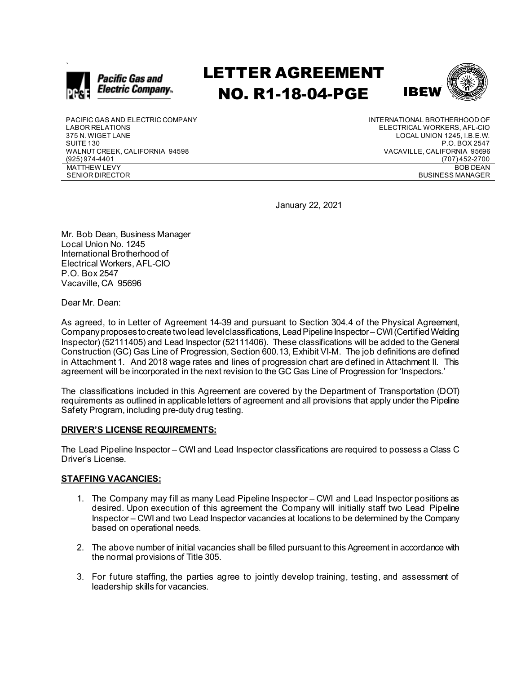

# LETTER AGREEMENT NO. R1-18-04-PGE



PACIFIC GAS AND ELECTRIC COMPANY LABOR RELATIONS 375 N. WIGET LANE SUITE 130 WALNUT CREEK, CALIFORNIA 94598 (925) 974-4401 MATTHEW LEVY SENIOR DIRECTOR

INTERNATIONAL BROTHERHOOD OF ELECTRICAL WORKERS, AFL-CIO LOCAL UNION 1245, I.B.E.W. P.O. BOX 2547 VACAVILLE, CALIFORNIA 95696 (707) 452-2700 BOB DEAN BUSINESS MANAGER

January 22, 2021

Mr. Bob Dean, Business Manager Local Union No. 1245 International Brotherhood of Electrical Workers, AFL-CIO P.O. Box 2547 Vacaville, CA 95696

Dear Mr. Dean:

As agreed, to in Letter of Agreement 14-39 and pursuant to Section 304.4 of the Physical Agreement, Company proposes to create two lead level classifications, Lead Pipeline Inspector–CWI(Certified Welding Inspector) (52111405) and Lead Inspector (52111406). These classifications will be added to the General Construction (GC) Gas Line of Progression, Section 600.13, Exhibit VI-M. The job definitions are defined in Attachment 1. And 2018 wage rates and lines of progression chart are defined in Attachment II. This agreement will be incorporated in the next revision to the GC Gas Line of Progression for 'Inspectors.'

The classifications included in this Agreement are covered by the Department of Transportation (DOT) requirements as outlined in applicable letters of agreement and all provisions that apply under the Pipeline Safety Program, including pre-duty drug testing.

#### **DRIVER'S LICENSE REQUIREMENTS:**

The Lead Pipeline Inspector – CWI and Lead Inspector classifications are required to possess a Class C Driver's License.

#### **STAFFING VACANCIES:**

- 1. The Company may fill as many Lead Pipeline Inspector CWI and Lead Inspector positions as desired. Upon execution of this agreement the Company will initially staff two Lead Pipeline Inspector – CWI and two Lead Inspector vacancies at locations to be determined by the Company based on operational needs.
- 2. The above number of initial vacancies shall be filled pursuant to this Agreement in accordance with the normal provisions of Title 305.
- 3. For future staffing, the parties agree to jointly develop training, testing, and assessment of leadership skills for vacancies.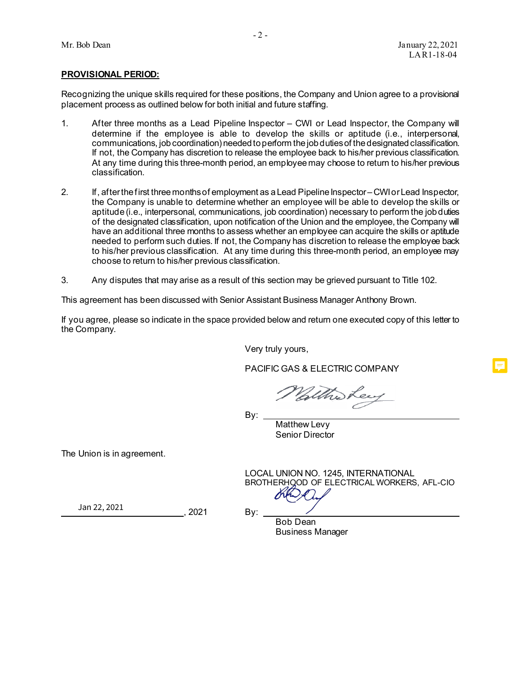#### **PROVISIONAL PERIOD:**

Recognizing the unique skills required for these positions, the Company and Union agree to a provisional placement process as outlined below for both initial and future staffing.

- 1. After three months as a Lead Pipeline Inspector CWI or Lead Inspector, the Company will determine if the employee is able to develop the skills or aptitude (i.e., interpersonal, communications, job coordination) needed to perform the job duties of the designated classification. If not, the Company has discretion to release the employee back to his/her previous classification. At any time during this three-month period, an employee may choose to return to his/her previous classification.
- 2. If, after the first three months of employment as a Lead Pipeline Inspector CWIor Lead Inspector, the Company is unable to determine whether an employee will be able to develop the skills or aptitude (i.e., interpersonal, communications, job coordination) necessary to perform the job duties of the designated classification, upon notification of the Union and the employee, the Company will have an additional three months to assess whether an employee can acquire the skills or aptitude needed to perform such duties. If not, the Company has discretion to release the employee back to his/her previous classification. At any time during this three-month period, an employee may choose to return to his/her previous classification.
- 3. Any disputes that may arise as a result of this section may be grieved pursuant to Title 102.

This agreement has been discussed with Senior Assistant Business Manager Anthony Brown.

If you agree, please so indicate in the space provided below and return one executed copy of this letter to the Company.

Very truly yours,

PACIFIC GAS & ELECTRIC COMPANY

Wallholey

 $By:$ 

Matthew Levy Senior Director

The Union is in agreement.

LOCAL UNION NO. 1245, INTERNATIONAL BROTHERHOOD OF ELECTRICAL WORKERS, AFL-CIO

, 2021 By:  ${\frac{1}{20}}$  Jan 22, 2021

Bob Dean Business Manager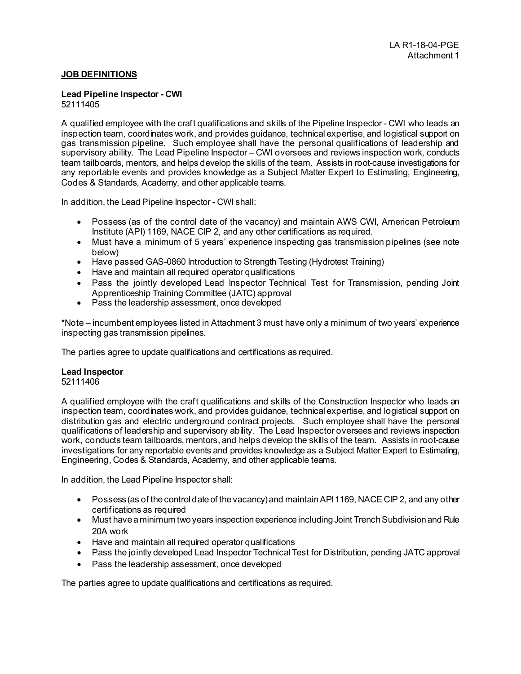### **JOB DEFINITIONS**

#### **Lead Pipeline Inspector - CWI** 52111405

A qualified employee with the craft qualifications and skills of the Pipeline Inspector - CWI who leads an inspection team, coordinates work, and provides guidance, technical expertise, and logistical support on gas transmission pipeline. Such employee shall have the personal qualifications of leadership and supervisory ability. The Lead Pipeline Inspector – CWI oversees and reviews inspection work, conducts team tailboards, mentors, and helps develop the skills of the team. Assists in root-cause investigations for any reportable events and provides knowledge as a Subject Matter Expert to Estimating, Engineering, Codes & Standards, Academy, and other applicable teams.

In addition, the Lead Pipeline Inspector - CWI shall:

- Possess (as of the control date of the vacancy) and maintain AWS CWI, American Petroleum Institute (API) 1169, NACE CIP 2, and any other certifications as required.
- Must have a minimum of 5 years' experience inspecting gas transmission pipelines (see note below)
- Have passed GAS-0860 Introduction to Strength Testing (Hydrotest Training)
- Have and maintain all required operator qualifications
- Pass the jointly developed Lead Inspector Technical Test for Transmission, pending Joint Apprenticeship Training Committee (JATC) approval
- Pass the leadership assessment, once developed

\*Note – incumbent employees listed in Attachment 3 must have only a minimum of two years' experience inspecting gas transmission pipelines.

The parties agree to update qualifications and certifications as required.

#### **Lead Inspector**

52111406

A qualified employee with the craft qualifications and skills of the Construction Inspector who leads an inspection team, coordinates work, and provides guidance, technical expertise, and logistical support on distribution gas and electric underground contract projects. Such employee shall have the personal qualifications of leadership and supervisory ability. The Lead Inspector oversees and reviews inspection work, conducts team tailboards, mentors, and helps develop the skills of the team. Assists in root-cause investigations for any reportable events and provides knowledge as a Subject Matter Expert to Estimating, Engineering, Codes & Standards, Academy, and other applicable teams.

In addition, the Lead Pipeline Inspector shall:

- Possess (as of the control date of the vacancy) and maintain API 1169, NACE CIP 2, and any other certifications as required
- Must have a minimum two years inspection experience including Joint Trench Subdivision and Rule 20A work
- Have and maintain all required operator qualifications
- Pass the jointly developed Lead Inspector Technical Test for Distribution, pending JATC approval
- Pass the leadership assessment, once developed

The parties agree to update qualifications and certifications as required.